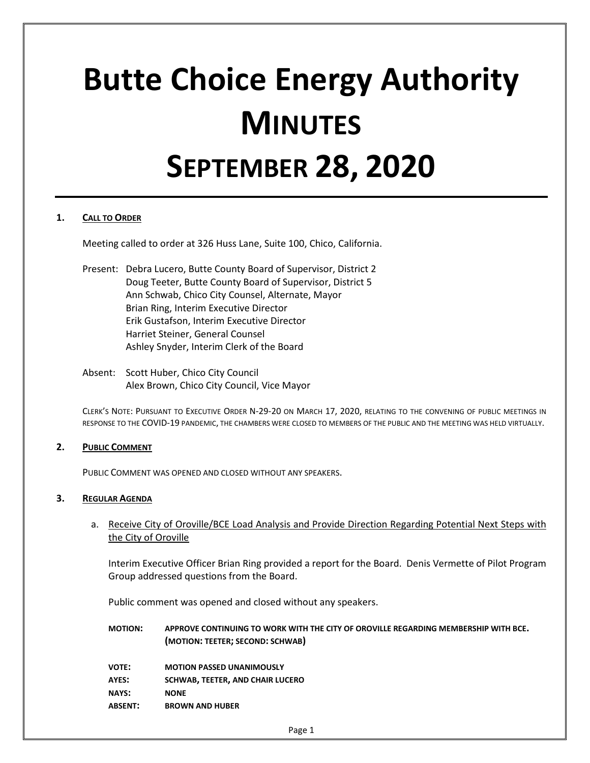# **Butte Choice Energy Authority MINUTES SEPTEMBER 28, 2020**

## **1. CALL TO ORDER**

Meeting called to order at 326 Huss Lane, Suite 100, Chico, California.

- Present: Debra Lucero, Butte County Board of Supervisor, District 2 Doug Teeter, Butte County Board of Supervisor, District 5 Ann Schwab, Chico City Counsel, Alternate, Mayor Brian Ring, Interim Executive Director Erik Gustafson, Interim Executive Director Harriet Steiner, General Counsel Ashley Snyder, Interim Clerk of the Board
- Absent: Scott Huber, Chico City Council Alex Brown, Chico City Council, Vice Mayor

CLERK'S NOTE: PURSUANT TO EXECUTIVE ORDER N-29-20 ON MARCH 17, 2020, RELATING TO THE CONVENING OF PUBLIC MEETINGS IN RESPONSE TO THE COVID-19 PANDEMIC, THE CHAMBERS WERE CLOSED TO MEMBERS OF THE PUBLIC AND THE MEETING WAS HELD VIRTUALLY.

#### **2. PUBLIC COMMENT**

PUBLIC COMMENT WAS OPENED AND CLOSED WITHOUT ANY SPEAKERS.

#### **3. REGULAR AGENDA**

a. Receive City of Oroville/BCE Load Analysis and Provide Direction Regarding Potential Next Steps with the City of Oroville

Interim Executive Officer Brian Ring provided a report for the Board. Denis Vermette of Pilot Program Group addressed questions from the Board.

Public comment was opened and closed without any speakers.

- **MOTION: APPROVE CONTINUING TO WORK WITH THE CITY OF OROVILLE REGARDING MEMBERSHIP WITH BCE. (MOTION: TEETER; SECOND: SCHWAB)**
- **VOTE: MOTION PASSED UNANIMOUSLY**
- **AYES: SCHWAB, TEETER, AND CHAIR LUCERO**
- **NAYS: NONE**
- **ABSENT: BROWN AND HUBER**